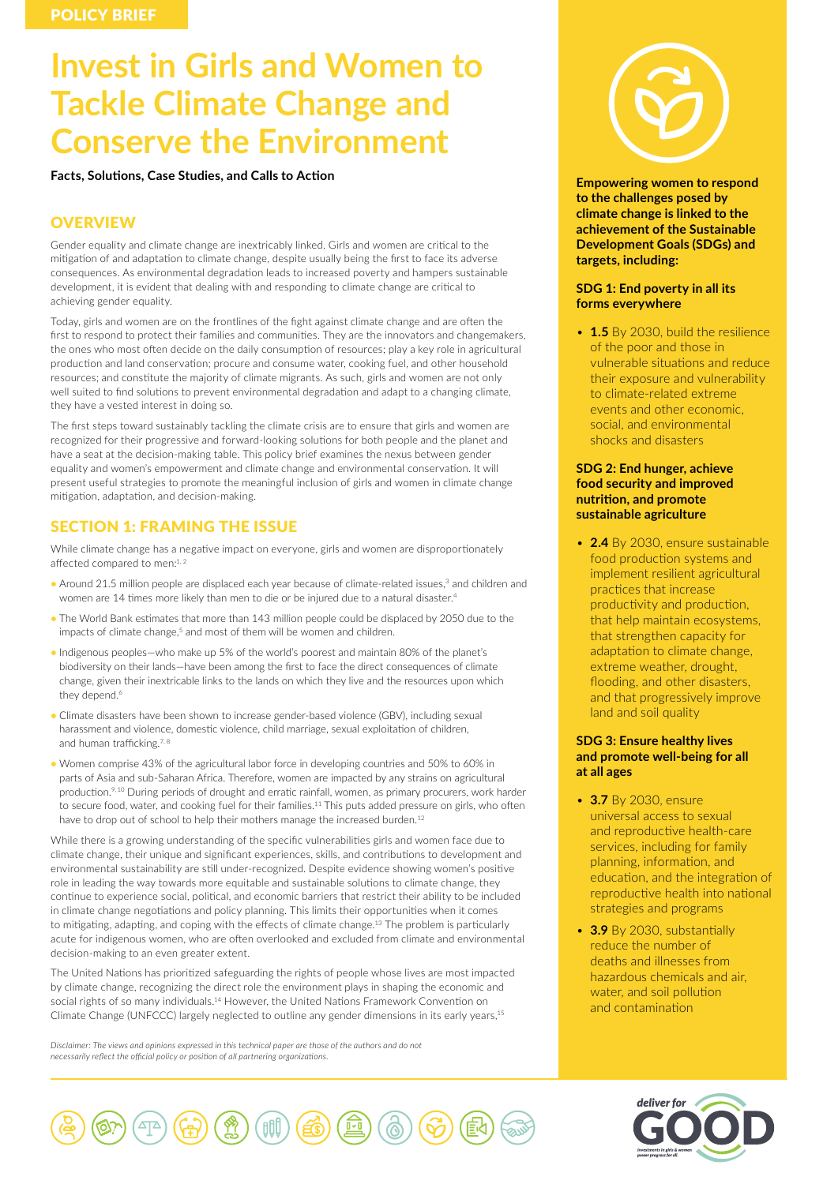# **Invest in Girls and Women to Tackle Climate Change and Conserve the Environment**

**Facts, Solutions, Case Studies, and Calls to Action**

# **OVERVIEW**

Gender equality and climate change are inextricably linked. Girls and women are critical to the mitigation of and adaptation to climate change, despite usually being the first to face its adverse consequences. As environmental degradation leads to increased poverty and hampers sustainable development, it is evident that dealing with and responding to climate change are critical to achieving gender equality.

Today, girls and women are on the frontlines of the fight against climate change and are often the first to respond to protect their families and communities. They are the innovators and changemakers, the ones who most often decide on the daily consumption of resources; play a key role in agricultural production and land conservation; procure and consume water, cooking fuel, and other household resources; and constitute the majority of climate migrants. As such, girls and women are not only well suited to find solutions to prevent environmental degradation and adapt to a changing climate, they have a vested interest in doing so.

The first steps toward sustainably tackling the climate crisis are to ensure that girls and women are recognized for their progressive and forward-looking solutions for both people and the planet and have a seat at the decision-making table. This policy brief examines the nexus between gender equality and women's empowerment and climate change and environmental conservation. It will present useful strategies to promote the meaningful inclusion of girls and women in climate change mitigation, adaptation, and decision-making.

# SECTION 1: FRAMING THE ISSUE

While climate change has a negative impact on everyone, girls and women are disproportionately affected compared to men:<sup>1,2</sup>

- Around 21.5 million people are displaced each year because of climate-related issues,<sup>3</sup> and children and women are 14 times more likely than men to die or be injured due to a natural disaster.<sup>4</sup>
- The World Bank estimates that more than 143 million people could be displaced by 2050 due to the impacts of climate change.<sup>5</sup> and most of them will be women and children.
- Indigenous peoples—who make up 5% of the world's poorest and maintain 80% of the planet's biodiversity on their lands—have been among the first to face the direct consequences of climate change, given their inextricable links to the lands on which they live and the resources upon which they depend.<sup>6</sup>
- Climate disasters have been shown to increase gender-based violence (GBV), including sexual harassment and violence, domestic violence, child marriage, sexual exploitation of children, and human trafficking.<sup>7, 8</sup>
- Women comprise 43% of the agricultural labor force in developing countries and 50% to 60% in parts of Asia and sub-Saharan Africa. Therefore, women are impacted by any strains on agricultural production.9, 10 During periods of drought and erratic rainfall, women, as primary procurers, work harder to secure food, water, and cooking fuel for their families.<sup>11</sup> This puts added pressure on girls, who often have to drop out of school to help their mothers manage the increased burden.<sup>12</sup>

While there is a growing understanding of the specific vulnerabilities girls and women face due to climate change, their unique and significant experiences, skills, and contributions to development and environmental sustainability are still under-recognized. Despite evidence showing women's positive role in leading the way towards more equitable and sustainable solutions to climate change, they continue to experience social, political, and economic barriers that restrict their ability to be included in climate change negotiations and policy planning. This limits their opportunities when it comes to mitigating, adapting, and coping with the effects of climate change.13 The problem is particularly acute for indigenous women, who are often overlooked and excluded from climate and environmental decision-making to an even greater extent.

The United Nations has prioritized safeguarding the rights of people whose lives are most impacted by climate change, recognizing the direct role the environment plays in shaping the economic and social rights of so many individuals.<sup>14</sup> However, the United Nations Framework Convention on Climate Change (UNFCCC) largely neglected to outline any gender dimensions in its early years,15

*Disclaimer: The views and opinions expressed in this technical paper are those of the authors and do not necessarily reflect the official policy or position of all partnering organizations.*



**Empowering women to respond to the challenges posed by climate change is linked to the achievement of the Sustainable Development Goals (SDGs) and targets, including:** 

# **SDG 1: End poverty in all its forms everywhere**

• **1.5** By 2030, build the resilience of the poor and those in vulnerable situations and reduce their exposure and vulnerability to climate-related extreme events and other economic, social, and environmental shocks and disasters

# **SDG 2: End hunger, achieve food security and improved nutrition, and promote sustainable agriculture**

• **2.4** By 2030, ensure sustainable food production systems and implement resilient agricultural practices that increase productivity and production, that help maintain ecosystems, that strengthen capacity for adaptation to climate change, extreme weather, drought, flooding, and other disasters, and that progressively improve land and soil quality

# **SDG 3: Ensure healthy lives and promote well-being for all at all ages**

- **3.7** By 2030, ensure universal access to sexual and reproductive health-care services, including for family planning, information, and education, and the integration of reproductive health into national strategies and programs
- **3.9** By 2030, substantially reduce the number of deaths and illnesses from hazardous chemicals and air, water, and soil pollution and contamination



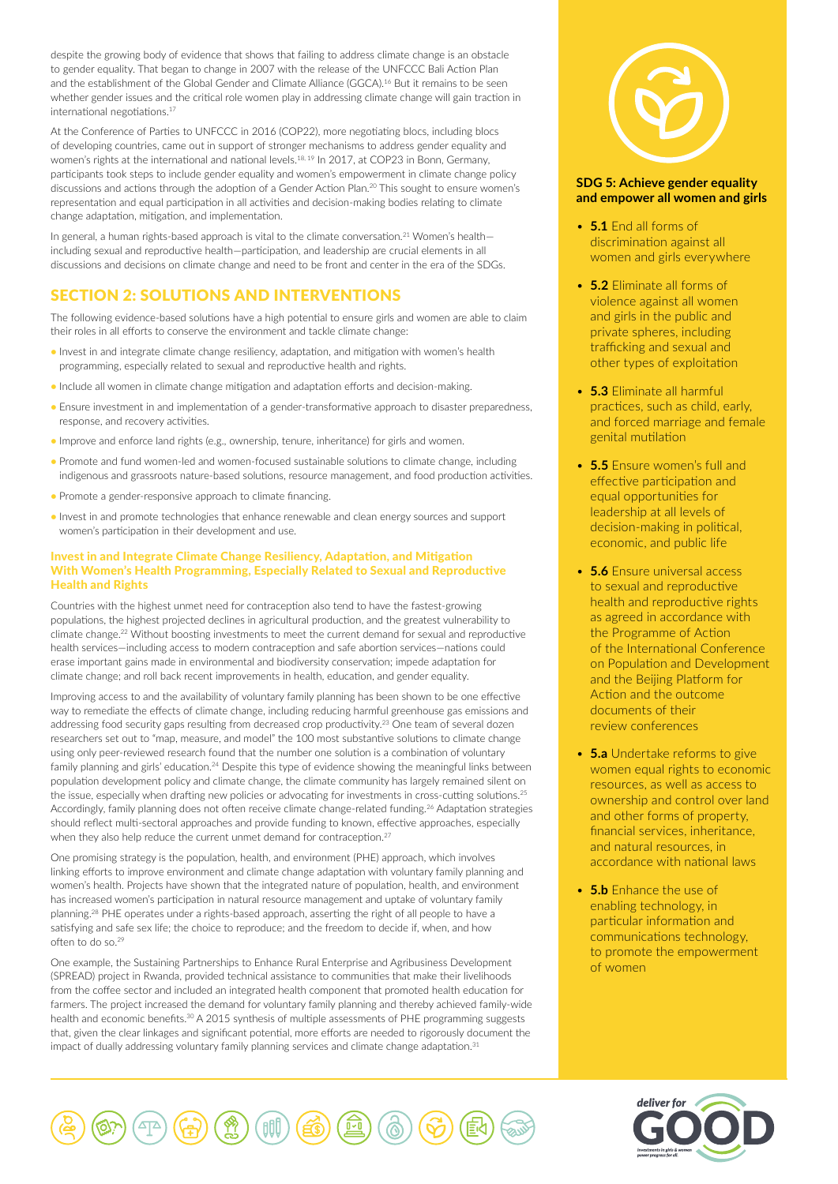despite the growing body of evidence that shows that failing to address climate change is an obstacle to gender equality. That began to change in 2007 with the release of the UNFCCC Bali Action Plan and the establishment of the Global Gender and Climate Alliance (GGCA).<sup>16</sup> But it remains to be seen whether gender issues and the critical role women play in addressing climate change will gain traction in international negotiations.<sup>17</sup>

At the Conference of Parties to UNFCCC in 2016 (COP22), more negotiating blocs, including blocs of developing countries, came out in support of stronger mechanisms to address gender equality and women's rights at the international and national levels.<sup>18, 19</sup> In 2017, at COP23 in Bonn, Germany, participants took steps to include gender equality and women's empowerment in climate change policy discussions and actions through the adoption of a Gender Action Plan.20 This sought to ensure women's representation and equal participation in all activities and decision-making bodies relating to climate change adaptation, mitigation, and implementation.

In general, a human rights-based approach is vital to the climate conversation.<sup>21</sup> Women's healthincluding sexual and reproductive health—participation, and leadership are crucial elements in all discussions and decisions on climate change and need to be front and center in the era of the SDGs.

# SECTION 2: SOLUTIONS AND INTERVENTIONS

The following evidence-based solutions have a high potential to ensure girls and women are able to claim their roles in all efforts to conserve the environment and tackle climate change:

- Invest in and integrate climate change resiliency, adaptation, and mitigation with women's health programming, especially related to sexual and reproductive health and rights.
- Include all women in climate change mitigation and adaptation efforts and decision-making.
- Ensure investment in and implementation of a gender-transformative approach to disaster preparedness, response, and recovery activities.
- Improve and enforce land rights (e.g., ownership, tenure, inheritance) for girls and women.
- Promote and fund women-led and women-focused sustainable solutions to climate change, including indigenous and grassroots nature-based solutions, resource management, and food production activities.
- Promote a gender-responsive approach to climate financing.
- Invest in and promote technologies that enhance renewable and clean energy sources and support women's participation in their development and use.

#### Invest in and Integrate Climate Change Resiliency, Adaptation, and Mitigation With Women's Health Programming, Especially Related to Sexual and Reproductive Health and Rights

Countries with the highest unmet need for contraception also tend to have the fastest-growing populations, the highest projected declines in agricultural production, and the greatest vulnerability to climate change.22 Without boosting investments to meet the current demand for sexual and reproductive health services—including access to modern contraception and safe abortion services—nations could erase important gains made in environmental and biodiversity conservation; impede adaptation for climate change; and roll back recent improvements in health, education, and gender equality.

Improving access to and the availability of voluntary family planning has been shown to be one effective way to remediate the effects of climate change, including reducing harmful greenhouse gas emissions and addressing food security gaps resulting from decreased crop productivity.<sup>23</sup> One team of several dozen researchers set out to "map, measure, and model" the 100 most substantive solutions to climate change using only peer-reviewed research found that the number one solution is a combination of voluntary family planning and girls' education.<sup>24</sup> Despite this type of evidence showing the meaningful links between population development policy and climate change, the climate community has largely remained silent on the issue, especially when drafting new policies or advocating for investments in cross-cutting solutions.<sup>25</sup> Accordingly, family planning does not often receive climate change-related funding.<sup>26</sup> Adaptation strategies should reflect multi-sectoral approaches and provide funding to known, effective approaches, especially when they also help reduce the current unmet demand for contraception.<sup>27</sup>

One promising strategy is the population, health, and environment (PHE) approach, which involves linking efforts to improve environment and climate change adaptation with voluntary family planning and women's health. Projects have shown that the integrated nature of population, health, and environment has increased women's participation in natural resource management and uptake of voluntary family planning.<sup>28</sup> PHE operates under a rights-based approach, asserting the right of all people to have a satisfying and safe sex life; the choice to reproduce; and the freedom to decide if, when, and how often to do so.29

One example, the Sustaining Partnerships to Enhance Rural Enterprise and Agribusiness Development (SPREAD) project in Rwanda, provided technical assistance to communities that make their livelihoods from the coffee sector and included an integrated health component that promoted health education for farmers. The project increased the demand for voluntary family planning and thereby achieved family-wide health and economic benefits.<sup>30</sup> A 2015 synthesis of multiple assessments of PHE programming suggests that, given the clear linkages and significant potential, more efforts are needed to rigorously document the impact of dually addressing voluntary family planning services and climate change adaptation.<sup>31</sup>



# **SDG 5: Achieve gender equality and empower all women and girls**

- **5.1** End all forms of discrimination against all women and girls everywhere
- **5.2** Eliminate all forms of violence against all women and girls in the public and private spheres, including trafficking and sexual and other types of exploitation
- **5.3** Eliminate all harmful practices, such as child, early, and forced marriage and female genital mutilation
- **5.5** Ensure women's full and effective participation and equal opportunities for leadership at all levels of decision-making in political, economic, and public life
- **5.6** Ensure universal access to sexual and reproductive health and reproductive rights as agreed in accordance with the Programme of Action of the International Conference on Population and Development and the Beijing Platform for Action and the outcome documents of their review conferences
- **5.a** Undertake reforms to give women equal rights to economic resources, as well as access to ownership and control over land and other forms of property, financial services, inheritance, and natural resources, in accordance with national laws
- **5.b** Enhance the use of enabling technology, in particular information and communications technology, to promote the empowerment of women



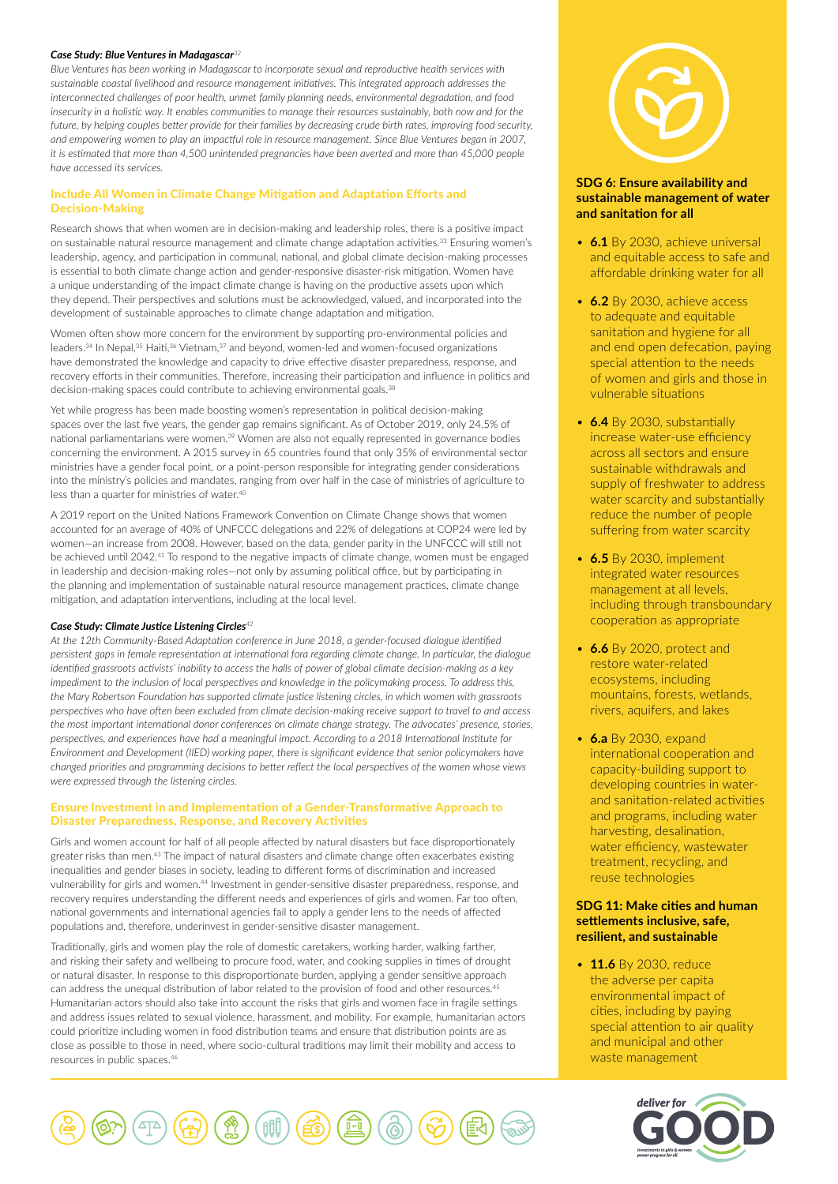#### *Case Study: Blue Ventures in Madagascar<sup>32</sup>*

*Blue Ventures has been working in Madagascar to incorporate sexual and reproductive health services with sustainable coastal livelihood and resource management initiatives. This integrated approach addresses the interconnected challenges of poor health, unmet family planning needs, environmental degradation, and food insecurity in a holistic way. It enables communities to manage their resources sustainably, both now and for the future, by helping couples better provide for their families by decreasing crude birth rates, improving food security, and empowering women to play an impactful role in resource management. Since Blue Ventures began in 2007, it is estimated that more than 4,500 unintended pregnancies have been averted and more than 45,000 people have accessed its services.*

# Include All Women in Climate Change Mitigation and Adaptation Efforts and Decision-Making

Research shows that when women are in decision-making and leadership roles, there is a positive impact on sustainable natural resource management and climate change adaptation activities.33 Ensuring women's leadership, agency, and participation in communal, national, and global climate decision-making processes is essential to both climate change action and gender-responsive disaster-risk mitigation. Women have a unique understanding of the impact climate change is having on the productive assets upon which they depend. Their perspectives and solutions must be acknowledged, valued, and incorporated into the development of sustainable approaches to climate change adaptation and mitigation.

Women often show more concern for the environment by supporting pro-environmental policies and leaders.<sup>34</sup> In Nepal,<sup>35</sup> Haiti,<sup>36</sup> Vietnam,<sup>37</sup> and beyond, women-led and women-focused organizations have demonstrated the knowledge and capacity to drive effective disaster preparedness, response, and recovery efforts in their communities. Therefore, increasing their participation and influence in politics and decision-making spaces could contribute to achieving environmental goals.<sup>38</sup>

Yet while progress has been made boosting women's representation in political decision-making spaces over the last five years, the gender gap remains significant. As of October 2019, only 24.5% of national parliamentarians were women.39 Women are also not equally represented in governance bodies concerning the environment. A 2015 survey in 65 countries found that only 35% of environmental sector ministries have a gender focal point, or a point-person responsible for integrating gender considerations into the ministry's policies and mandates, ranging from over half in the case of ministries of agriculture to less than a quarter for ministries of water.40

A 2019 report on the United Nations Framework Convention on Climate Change shows that women accounted for an average of 40% of UNFCCC delegations and 22% of delegations at COP24 were led by women—an increase from 2008. However, based on the data, gender parity in the UNFCCC will still not be achieved until 2042.41 To respond to the negative impacts of climate change, women must be engaged in leadership and decision-making roles—not only by assuming political office, but by participating in the planning and implementation of sustainable natural resource management practices, climate change mitigation, and adaptation interventions, including at the local level.

# *Case Study: Climate Justice Listening Circles<sup>42</sup>*

*At the 12th Community-Based Adaptation conference in June 2018, a gender-focused dialogue identified persistent gaps in female representation at international fora regarding climate change. In particular, the dialogue identified grassroots activists' inability to access the halls of power of global climate decision-making as a key impediment to the inclusion of local perspectives and knowledge in the policymaking process. To address this, the Mary Robertson Foundation has supported climate justice listening circles, in which women with grassroots perspectives who have often been excluded from climate decision-making receive support to travel to and access the most important international donor conferences on climate change strategy. The advocates' presence, stories, perspectives, and experiences have had a meaningful impact. According to a 2018 International Institute for Environment and Development (IIED) working paper, there is significant evidence that senior policymakers have changed priorities and programming decisions to better reflect the local perspectives of the women whose views were expressed through the listening circles.*

# Ensure Investment in and Implementation of a Gender-Transformative Approach to Disaster Preparedness, Response, and Recovery Activities

Girls and women account for half of all people affected by natural disasters but face disproportionately greater risks than men.43 The impact of natural disasters and climate change often exacerbates existing inequalities and gender biases in society, leading to different forms of discrimination and increased vulnerability for girls and women.44 Investment in gender-sensitive disaster preparedness, response, and recovery requires understanding the different needs and experiences of girls and women. Far too often, national governments and international agencies fail to apply a gender lens to the needs of affected populations and, therefore, underinvest in gender-sensitive disaster management.

Traditionally, girls and women play the role of domestic caretakers, working harder, walking farther, and risking their safety and wellbeing to procure food, water, and cooking supplies in times of drought or natural disaster. In response to this disproportionate burden, applying a gender sensitive approach can address the unequal distribution of labor related to the provision of food and other resources.<sup>45</sup> Humanitarian actors should also take into account the risks that girls and women face in fragile settings and address issues related to sexual violence, harassment, and mobility. For example, humanitarian actors could prioritize including women in food distribution teams and ensure that distribution points are as close as possible to those in need, where socio-cultural traditions may limit their mobility and access to resources in public spaces.<sup>46</sup>





# **SDG 6: Ensure availability and sustainable management of water and sanitation for all**

- **6.1** By 2030, achieve universal and equitable access to safe and affordable drinking water for all
- **6.2** By 2030, achieve access to adequate and equitable sanitation and hygiene for all and end open defecation, paying special attention to the needs of women and girls and those in vulnerable situations
- **6.4** By 2030, substantially increase water-use efficiency across all sectors and ensure sustainable withdrawals and supply of freshwater to address water scarcity and substantially reduce the number of people suffering from water scarcity
- **6.5** By 2030, implement integrated water resources management at all levels, including through transboundary cooperation as appropriate
- **6.6** By 2020, protect and restore water-related ecosystems, including mountains, forests, wetlands, rivers, aquifers, and lakes
- **6.a** By 2030, expand international cooperation and capacity-building support to developing countries in waterand sanitation-related activities and programs, including water harvesting, desalination, water efficiency, wastewater treatment, recycling, and reuse technologies

# **SDG 11: Make cities and human settlements inclusive, safe, resilient, and sustainable**

• **11.6** By 2030, reduce the adverse per capita environmental impact of cities, including by paying special attention to air quality and municipal and other waste management

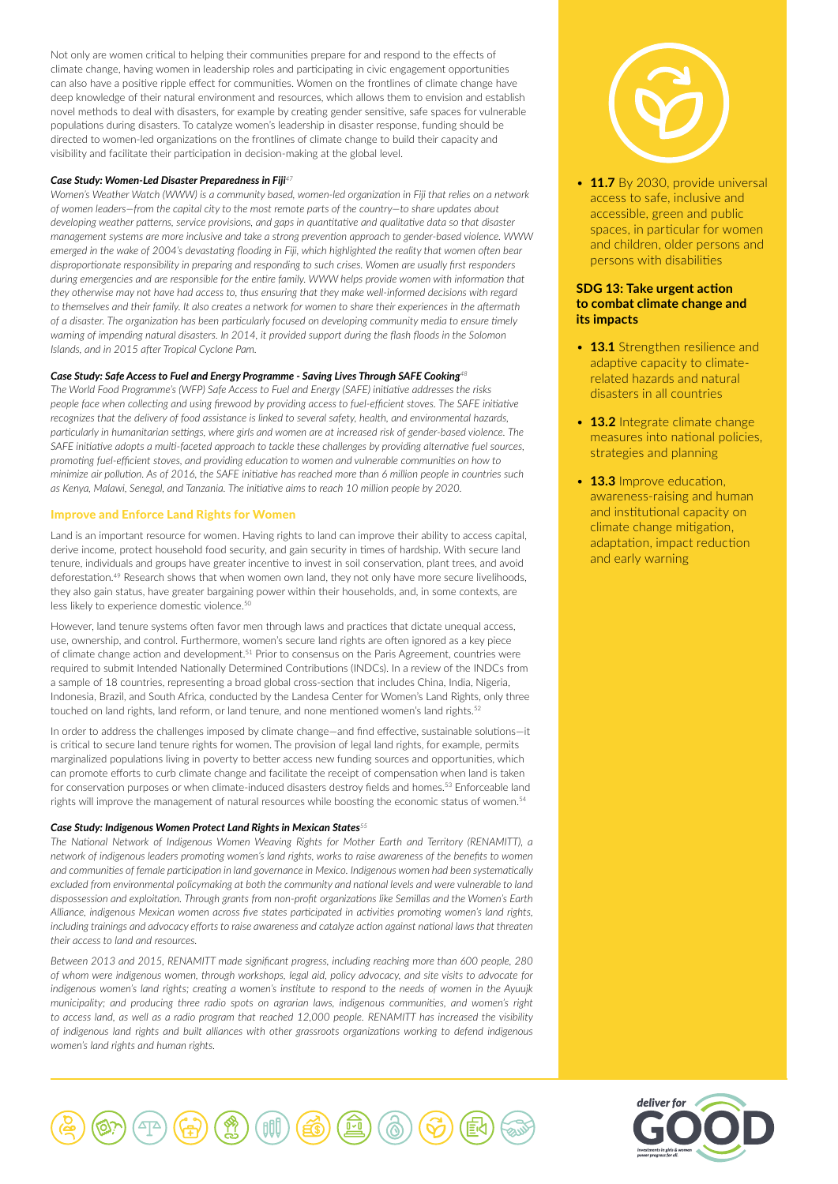Not only are women critical to helping their communities prepare for and respond to the effects of climate change, having women in leadership roles and participating in civic engagement opportunities can also have a positive ripple effect for communities. Women on the frontlines of climate change have deep knowledge of their natural environment and resources, which allows them to envision and establish novel methods to deal with disasters, for example by creating gender sensitive, safe spaces for vulnerable populations during disasters. To catalyze women's leadership in disaster response, funding should be directed to women-led organizations on the frontlines of climate change to build their capacity and visibility and facilitate their participation in decision-making at the global level.

#### *Case Study: Women-Led Disaster Preparedness in Fiji<sup>47</sup>*

*Women's Weather Watch (WWW) is a community based, women-led organization in Fiji that relies on a network of women leaders—from the capital city to the most remote parts of the country—to share updates about developing weather patterns, service provisions, and gaps in quantitative and qualitative data so that disaster management systems are more inclusive and take a strong prevention approach to gender-based violence. WWW emerged in the wake of 2004's devastating flooding in Fiji, which highlighted the reality that women often bear disproportionate responsibility in preparing and responding to such crises. Women are usually first responders during emergencies and are responsible for the entire family. WWW helps provide women with information that they otherwise may not have had access to, thus ensuring that they make well-informed decisions with regard to themselves and their family. It also creates a network for women to share their experiences in the aftermath of a disaster. The organization has been particularly focused on developing community media to ensure timely warning of impending natural disasters. In 2014, it provided support during the flash floods in the Solomon Islands, and in 2015 after Tropical Cyclone Pam.*

## *Case Study: Safe Access to Fuel and Energy Programme - Saving Lives Through SAFE Cooking<sup>48</sup>*

*The World Food Programme's (WFP) Safe Access to Fuel and Energy (SAFE) initiative addresses the risks people face when collecting and using firewood by providing access to fuel-efficient stoves. The SAFE initiative recognizes that the delivery of food assistance is linked to several safety, health, and environmental hazards, particularly in humanitarian settings, where girls and women are at increased risk of gender-based violence. The SAFE initiative adopts a multi-faceted approach to tackle these challenges by providing alternative fuel sources, promoting fuel-efficient stoves, and providing education to women and vulnerable communities on how to minimize air pollution. As of 2016, the SAFE initiative has reached more than 6 million people in countries such as Kenya, Malawi, Senegal, and Tanzania. The initiative aims to reach 10 million people by 2020.*

## Improve and Enforce Land Rights for Women

Land is an important resource for women. Having rights to land can improve their ability to access capital, derive income, protect household food security, and gain security in times of hardship. With secure land tenure, individuals and groups have greater incentive to invest in soil conservation, plant trees, and avoid deforestation.49 Research shows that when women own land, they not only have more secure livelihoods, they also gain status, have greater bargaining power within their households, and, in some contexts, are less likely to experience domestic violence.<sup>50</sup>

However, land tenure systems often favor men through laws and practices that dictate unequal access, use, ownership, and control. Furthermore, women's secure land rights are often ignored as a key piece of climate change action and development.<sup>51</sup> Prior to consensus on the Paris Agreement, countries were required to submit Intended Nationally Determined Contributions (INDCs). In a review of the INDCs from a sample of 18 countries, representing a broad global cross-section that includes China, India, Nigeria, Indonesia, Brazil, and South Africa, conducted by the Landesa Center for Women's Land Rights, only three touched on land rights, land reform, or land tenure, and none mentioned women's land rights.<sup>52</sup>

In order to address the challenges imposed by climate change—and find effective, sustainable solutions—it is critical to secure land tenure rights for women. The provision of legal land rights, for example, permits marginalized populations living in poverty to better access new funding sources and opportunities, which can promote efforts to curb climate change and facilitate the receipt of compensation when land is taken for conservation purposes or when climate-induced disasters destroy fields and homes.<sup>53</sup> Enforceable land rights will improve the management of natural resources while boosting the economic status of women.<sup>54</sup>

#### *Case Study: Indigenous Women Protect Land Rights in Mexican States<sup>55</sup>*

*The National Network of Indigenous Women Weaving Rights for Mother Earth and Territory (RENAMITT), a network of indigenous leaders promoting women's land rights, works to raise awareness of the benefits to women and communities of female participation in land governance in Mexico. Indigenous women had been systematically excluded from environmental policymaking at both the community and national levels and were vulnerable to land dispossession and exploitation. Through grants from non-profit organizations like Semillas and the Women's Earth Alliance, indigenous Mexican women across five states participated in activities promoting women's land rights, including trainings and advocacy efforts to raise awareness and catalyze action against national laws that threaten their access to land and resources.* 

*Between 2013 and 2015, RENAMITT made significant progress, including reaching more than 600 people, 280 of whom were indigenous women, through workshops, legal aid, policy advocacy, and site visits to advocate for indigenous women's land rights; creating a women's institute to respond to the needs of women in the Ayuujk municipality; and producing three radio spots on agrarian laws, indigenous communities, and women's right to access land, as well as a radio program that reached 12,000 people. RENAMITT has increased the visibility of indigenous land rights and built alliances with other grassroots organizations working to defend indigenous women's land rights and human rights.* 



• **11.7** By 2030, provide universal access to safe, inclusive and accessible, green and public spaces, in particular for women and children, older persons and persons with disabilities

# **SDG 13: Take urgent action to combat climate change and its impacts**

- **13.1** Strengthen resilience and adaptive capacity to climaterelated hazards and natural disasters in all countries
- **13.2** Integrate climate change measures into national policies, strategies and planning
- **13.3** Improve education, awareness-raising and human and institutional capacity on climate change mitigation, adaptation, impact reduction and early warning



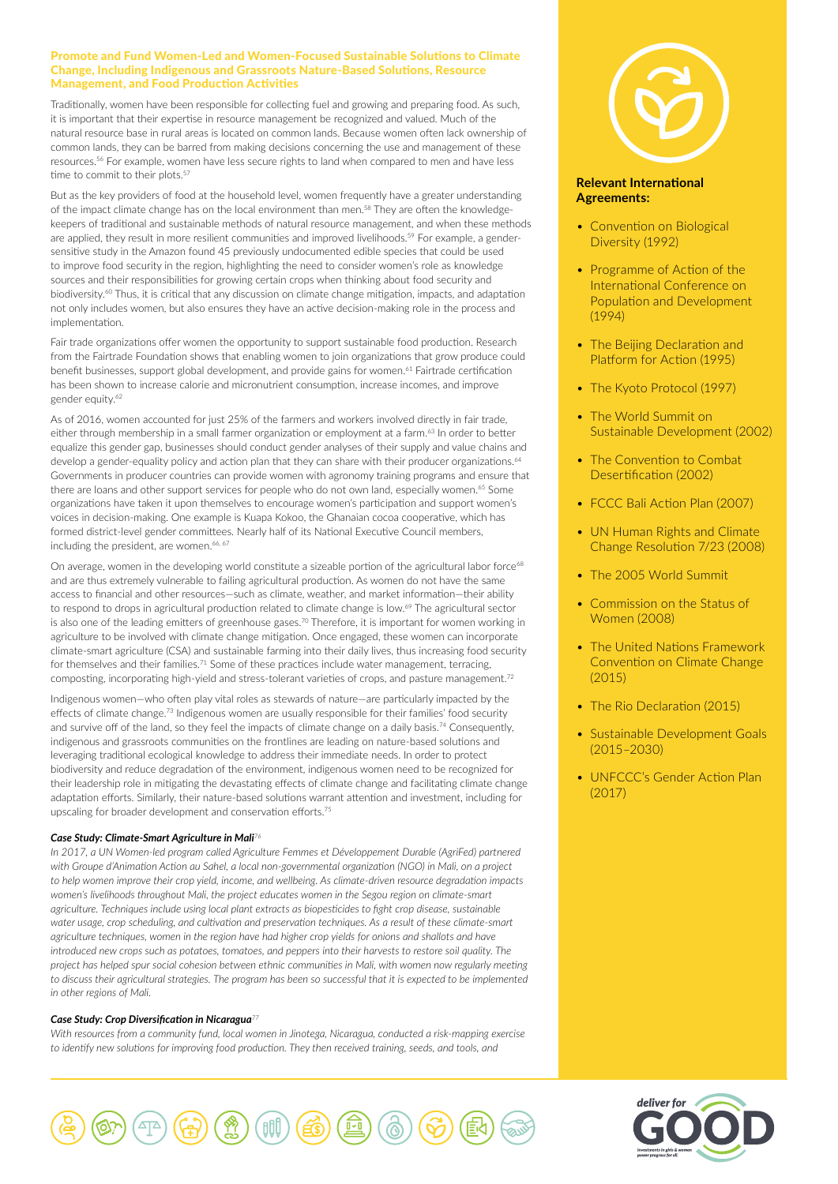# Promote and Fund Women-Led and Women-Focused Sustainable Solutions to Climate Change, Including Indigenous and Grassroots Nature-Based Solutions, Resource Management, and Food Production Activities

Traditionally, women have been responsible for collecting fuel and growing and preparing food. As such, it is important that their expertise in resource management be recognized and valued. Much of the natural resource base in rural areas is located on common lands. Because women often lack ownership of common lands, they can be barred from making decisions concerning the use and management of these resources.56 For example, women have less secure rights to land when compared to men and have less time to commit to their plots.<sup>57</sup>

But as the key providers of food at the household level, women frequently have a greater understanding of the impact climate change has on the local environment than men.<sup>58</sup> They are often the knowledgekeepers of traditional and sustainable methods of natural resource management, and when these methods are applied, they result in more resilient communities and improved livelihoods.<sup>59</sup> For example, a gendersensitive study in the Amazon found 45 previously undocumented edible species that could be used to improve food security in the region, highlighting the need to consider women's role as knowledge sources and their responsibilities for growing certain crops when thinking about food security and biodiversity.<sup>60</sup> Thus, it is critical that any discussion on climate change mitigation, impacts, and adaptation not only includes women, but also ensures they have an active decision-making role in the process and implementation.

Fair trade organizations offer women the opportunity to support sustainable food production. Research from the Fairtrade Foundation shows that enabling women to join organizations that grow produce could benefit businesses, support global development, and provide gains for women.<sup>61</sup> Fairtrade certification has been shown to increase calorie and micronutrient consumption, increase incomes, and improve gender equity.<sup>62</sup>

As of 2016, women accounted for just 25% of the farmers and workers involved directly in fair trade, either through membership in a small farmer organization or employment at a farm.<sup>63</sup> In order to better equalize this gender gap, businesses should conduct gender analyses of their supply and value chains and develop a gender-equality policy and action plan that they can share with their producer organizations.<sup>64</sup> Governments in producer countries can provide women with agronomy training programs and ensure that there are loans and other support services for people who do not own land, especially women.<sup>65</sup> Some organizations have taken it upon themselves to encourage women's participation and support women's voices in decision-making. One example is Kuapa Kokoo, the Ghanaian cocoa cooperative, which has formed district-level gender committees. Nearly half of its National Executive Council members, including the president, are women.<sup>66, 67</sup>

On average, women in the developing world constitute a sizeable portion of the agricultural labor force<sup>68</sup> and are thus extremely vulnerable to failing agricultural production. As women do not have the same access to financial and other resources—such as climate, weather, and market information—their ability to respond to drops in agricultural production related to climate change is low.<sup>69</sup> The agricultural sector is also one of the leading emitters of greenhouse gases.<sup>70</sup> Therefore, it is important for women working in agriculture to be involved with climate change mitigation. Once engaged, these women can incorporate climate-smart agriculture (CSA) and sustainable farming into their daily lives, thus increasing food security for themselves and their families.<sup>71</sup> Some of these practices include water management, terracing, composting, incorporating high-yield and stress-tolerant varieties of crops, and pasture management.<sup>72</sup>

Indigenous women—who often play vital roles as stewards of nature—are particularly impacted by the effects of climate change.<sup>73</sup> Indigenous women are usually responsible for their families' food security and survive off of the land, so they feel the impacts of climate change on a daily basis.<sup>74</sup> Consequently, indigenous and grassroots communities on the frontlines are leading on nature-based solutions and leveraging traditional ecological knowledge to address their immediate needs. In order to protect biodiversity and reduce degradation of the environment, indigenous women need to be recognized for their leadership role in mitigating the devastating effects of climate change and facilitating climate change adaptation efforts. Similarly, their nature-based solutions warrant attention and investment, including for upscaling for broader development and conservation efforts.75

# *Case Study: Climate-Smart Agriculture in Mali<sup>76</sup>*

*In 2017, a UN Women-led program called Agriculture Femmes et Développement Durable (AgriFed) partnered with Groupe d'Animation Action au Sahel, a local non-governmental organization (NGO) in Mali, on a project to help women improve their crop yield, income, and wellbeing. As climate-driven resource degradation impacts women's livelihoods throughout Mali, the project educates women in the Segou region on climate-smart agriculture. Techniques include using local plant extracts as biopesticides to fight crop disease, sustainable water usage, crop scheduling, and cultivation and preservation techniques. As a result of these climate-smart agriculture techniques, women in the region have had higher crop yields for onions and shallots and have introduced new crops such as potatoes, tomatoes, and peppers into their harvests to restore soil quality. The project has helped spur social cohesion between ethnic communities in Mali, with women now regularly meeting*  to discuss their agricultural strategies. The program has been so successful that it is expected to be implemented *in other regions of Mali.* 

#### *Case Study: Crop Diversification in Nicaragua<sup>77</sup>*

*With resources from a community fund, local women in Jinotega, Nicaragua, conducted a risk-mapping exercise to identify new solutions for improving food production. They then received training, seeds, and tools, and* 



# **Relevant International Agreements:**

- Convention on Biological Diversity (1992)
- Programme of Action of the International Conference on Population and Development (1994)
- The Beijing Declaration and Platform for Action (1995)
- The Kyoto Protocol (1997)
- The World Summit on Sustainable Development (2002)
- The Convention to Combat Desertification (2002)
- FCCC Bali Action Plan (2007)
- UN Human Rights and Climate Change Resolution 7/23 (2008)
- The 2005 World Summit
- Commission on the Status of Women (2008)
- The United Nations Framework Convention on Climate Change (2015)
- The Rio Declaration (2015)
- Sustainable Development Goals (2015–2030)
- UNFCCC's Gender Action Plan (2017)



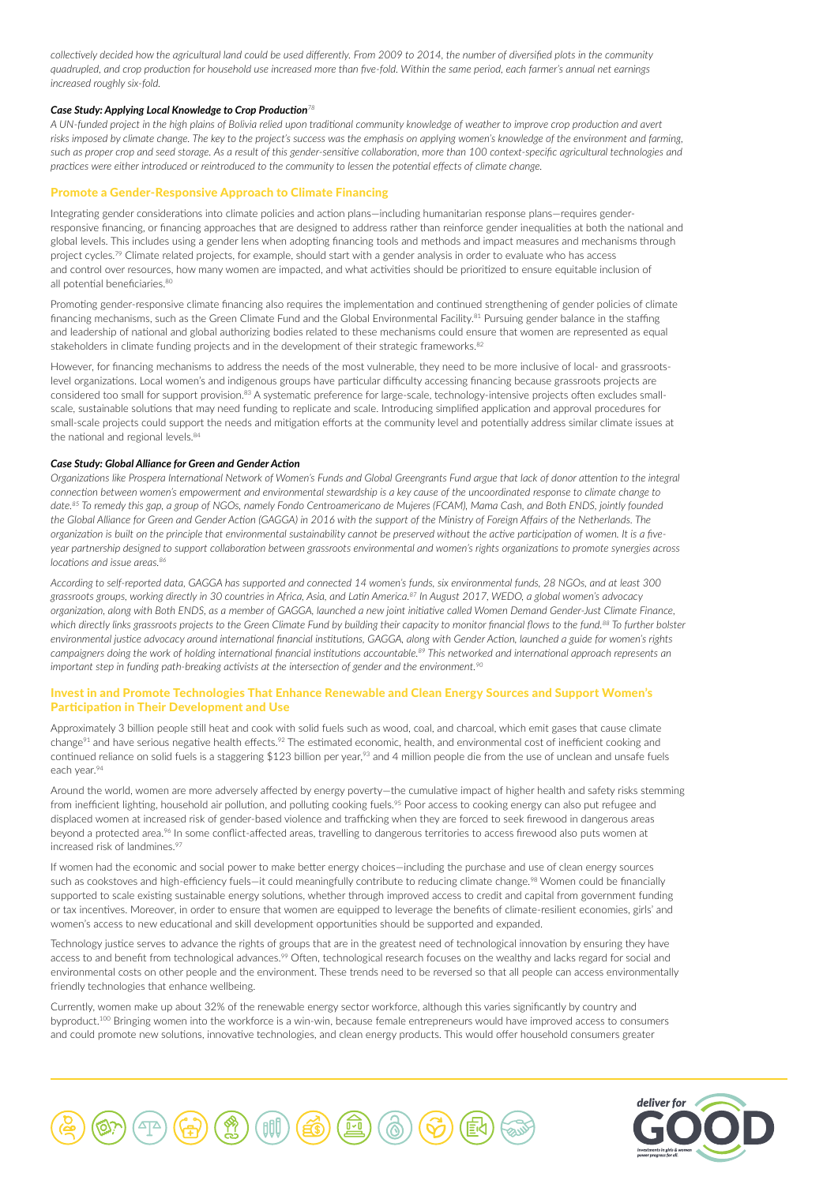*collectively decided how the agricultural land could be used differently. From 2009 to 2014, the number of diversified plots in the community quadrupled, and crop production for household use increased more than five-fold. Within the same period, each farmer's annual net earnings increased roughly six-fold.*

#### *Case Study: Applying Local Knowledge to Crop Production<sup>78</sup>*

*A UN-funded project in the high plains of Bolivia relied upon traditional community knowledge of weather to improve crop production and avert risks imposed by climate change. The key to the project's success was the emphasis on applying women's knowledge of the environment and farming, such as proper crop and seed storage. As a result of this gender-sensitive collaboration, more than 100 context-specific agricultural technologies and practices were either introduced or reintroduced to the community to lessen the potential effects of climate change.*

# Promote a Gender-Responsive Approach to Climate Financing

Integrating gender considerations into climate policies and action plans—including humanitarian response plans—requires genderresponsive financing, or financing approaches that are designed to address rather than reinforce gender inequalities at both the national and global levels. This includes using a gender lens when adopting financing tools and methods and impact measures and mechanisms through project cycles.<sup>79</sup> Climate related projects, for example, should start with a gender analysis in order to evaluate who has access and control over resources, how many women are impacted, and what activities should be prioritized to ensure equitable inclusion of all potential beneficiaries.<sup>80</sup>

Promoting gender-responsive climate financing also requires the implementation and continued strengthening of gender policies of climate financing mechanisms, such as the Green Climate Fund and the Global Environmental Facility.<sup>81</sup> Pursuing gender balance in the staffing and leadership of national and global authorizing bodies related to these mechanisms could ensure that women are represented as equal stakeholders in climate funding projects and in the development of their strategic frameworks.<sup>82</sup>

However, for financing mechanisms to address the needs of the most vulnerable, they need to be more inclusive of local- and grassrootslevel organizations. Local women's and indigenous groups have particular difficulty accessing financing because grassroots projects are considered too small for support provision.83 A systematic preference for large-scale, technology-intensive projects often excludes smallscale, sustainable solutions that may need funding to replicate and scale. Introducing simplified application and approval procedures for small-scale projects could support the needs and mitigation efforts at the community level and potentially address similar climate issues at the national and regional levels.<sup>84</sup>

#### *Case Study: Global Alliance for Green and Gender Action*

*Organizations like Prospera International Network of Women's Funds and Global Greengrants Fund argue that lack of donor attention to the integral connection between women's empowerment and environmental stewardship is a key cause of the uncoordinated response to climate change to date.85 To remedy this gap, a group of NGOs, namely Fondo Centroamericano de Mujeres (FCAM), Mama Cash, and Both ENDS, jointly founded the Global Alliance for Green and Gender Action (GAGGA) in 2016 with the support of the Ministry of Foreign Affairs of the Netherlands. The organization is built on the principle that environmental sustainability cannot be preserved without the active participation of women. It is a fiveyear partnership designed to support collaboration between grassroots environmental and women's rights organizations to promote synergies across locations and issue areas.86*

*According to self-reported data, GAGGA has supported and connected 14 women's funds, six environmental funds, 28 NGOs, and at least 300 grassroots groups, working directly in 30 countries in Africa, Asia, and Latin America.87 In August 2017, WEDO, a global women's advocacy organization, along with Both ENDS, as a member of GAGGA, launched a new joint initiative called Women Demand Gender-Just Climate Finance, which directly links grassroots projects to the Green Climate Fund by building their capacity to monitor financial flows to the fund.88 To further bolster environmental justice advocacy around international financial institutions, GAGGA, along with Gender Action, launched a guide for women's rights campaigners doing the work of holding international financial institutions accountable.89 This networked and international approach represents an important step in funding path-breaking activists at the intersection of gender and the environment.90*

#### Invest in and Promote Technologies That Enhance Renewable and Clean Energy Sources and Support Women's Participation in Their Development and Use

Approximately 3 billion people still heat and cook with solid fuels such as wood, coal, and charcoal, which emit gases that cause climate change<sup>91</sup> and have serious negative health effects.<sup>92</sup> The estimated economic, health, and environmental cost of inefficient cooking and continued reliance on solid fuels is a staggering \$123 billion per year,<sup>93</sup> and 4 million people die from the use of unclean and unsafe fuels each year.94

Around the world, women are more adversely affected by energy poverty—the cumulative impact of higher health and safety risks stemming from inefficient lighting, household air pollution, and polluting cooking fuels.<sup>95</sup> Poor access to cooking energy can also put refugee and displaced women at increased risk of gender-based violence and trafficking when they are forced to seek firewood in dangerous areas beyond a protected area.<sup>96</sup> In some conflict-affected areas, travelling to dangerous territories to access firewood also puts women at increased risk of landmines.<sup>97</sup>

If women had the economic and social power to make better energy choices—including the purchase and use of clean energy sources such as cookstoves and high-efficiency fuels-it could meaningfully contribute to reducing climate change.<sup>98</sup> Women could be financially supported to scale existing sustainable energy solutions, whether through improved access to credit and capital from government funding or tax incentives. Moreover, in order to ensure that women are equipped to leverage the benefits of climate-resilient economies, girls' and women's access to new educational and skill development opportunities should be supported and expanded.

Technology justice serves to advance the rights of groups that are in the greatest need of technological innovation by ensuring they have access to and benefit from technological advances.<sup>99</sup> Often, technological research focuses on the wealthy and lacks regard for social and environmental costs on other people and the environment. These trends need to be reversed so that all people can access environmentally friendly technologies that enhance wellbeing.

Currently, women make up about 32% of the renewable energy sector workforce, although this varies significantly by country and byproduct.<sup>100</sup> Bringing women into the workforce is a win-win, because female entrepreneurs would have improved access to consumers and could promote new solutions, innovative technologies, and clean energy products. This would offer household consumers greater



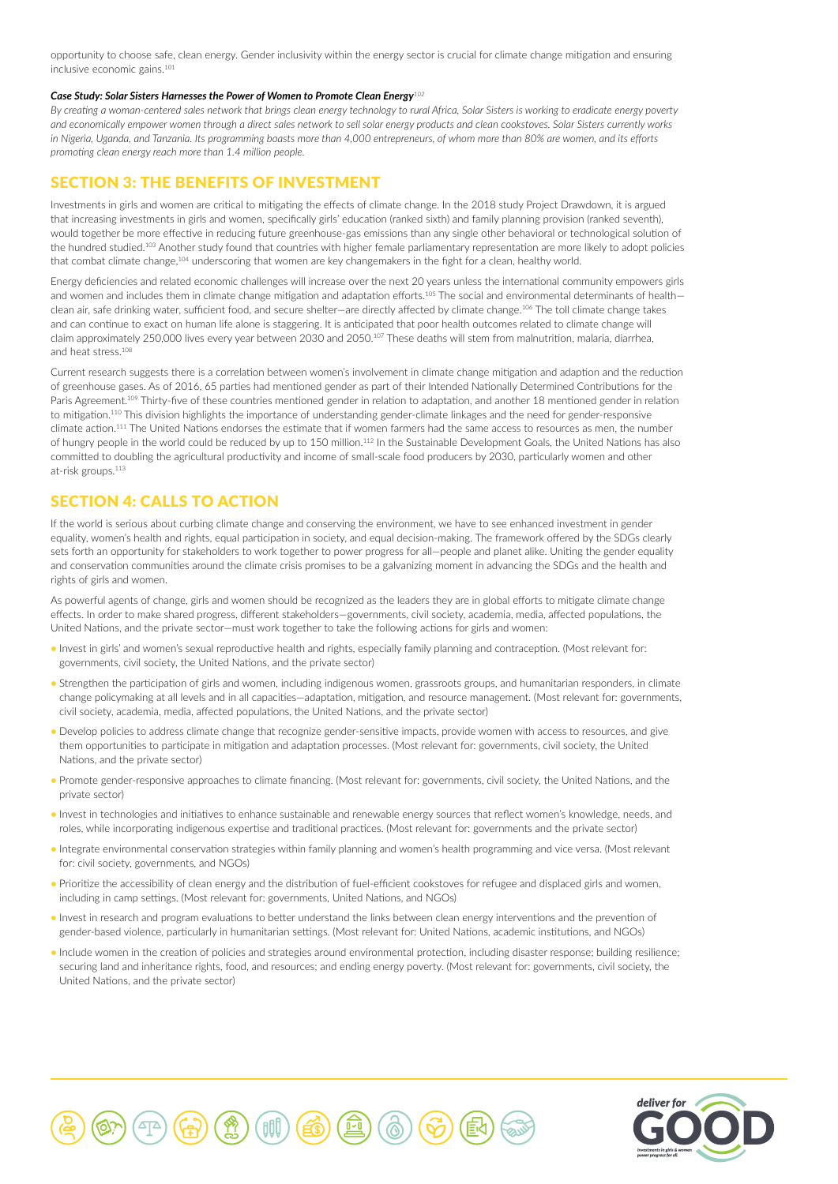opportunity to choose safe, clean energy. Gender inclusivity within the energy sector is crucial for climate change mitigation and ensuring inclusive economic gains.<sup>101</sup>

#### *Case Study: Solar Sisters Harnesses the Power of Women to Promote Clean Energy<sup>102</sup>*

*By creating a woman-centered sales network that brings clean energy technology to rural Africa, Solar Sisters is working to eradicate energy poverty and economically empower women through a direct sales network to sell solar energy products and clean cookstoves. Solar Sisters currently works in Nigeria, Uganda, and Tanzania. Its programming boasts more than 4,000 entrepreneurs, of whom more than 80% are women, and its efforts promoting clean energy reach more than 1.4 million people.*

# SECTION 3: THE BENEFITS OF INVESTMENT

Investments in girls and women are critical to mitigating the effects of climate change. In the 2018 study Project Drawdown, it is argued that increasing investments in girls and women, specifically girls' education (ranked sixth) and family planning provision (ranked seventh), would together be more effective in reducing future greenhouse-gas emissions than any single other behavioral or technological solution of the hundred studied.103 Another study found that countries with higher female parliamentary representation are more likely to adopt policies that combat climate change,104 underscoring that women are key changemakers in the fight for a clean, healthy world.

Energy deficiencies and related economic challenges will increase over the next 20 years unless the international community empowers girls and women and includes them in climate change mitigation and adaptation efforts.<sup>105</sup> The social and environmental determinants of healthclean air, safe drinking water, sufficient food, and secure shelter—are directly affected by climate change.<sup>106</sup> The toll climate change takes and can continue to exact on human life alone is staggering. It is anticipated that poor health outcomes related to climate change will claim approximately 250,000 lives every year between 2030 and 2050.<sup>107</sup> These deaths will stem from malnutrition, malaria, diarrhea, and heat stress.<sup>108</sup>

Current research suggests there is a correlation between women's involvement in climate change mitigation and adaption and the reduction of greenhouse gases. As of 2016, 65 parties had mentioned gender as part of their Intended Nationally Determined Contributions for the Paris Agreement.<sup>109</sup> Thirty-five of these countries mentioned gender in relation to adaptation, and another 18 mentioned gender in relation to mitigation.110 This division highlights the importance of understanding gender-climate linkages and the need for gender-responsive climate action.111 The United Nations endorses the estimate that if women farmers had the same access to resources as men, the number of hungry people in the world could be reduced by up to 150 million.<sup>112</sup> In the Sustainable Development Goals, the United Nations has also committed to doubling the agricultural productivity and income of small-scale food producers by 2030, particularly women and other at-risk groups.<sup>113</sup>

# SECTION 4: CALLS TO ACTION

If the world is serious about curbing climate change and conserving the environment, we have to see enhanced investment in gender equality, women's health and rights, equal participation in society, and equal decision-making. The framework offered by the SDGs clearly sets forth an opportunity for stakeholders to work together to power progress for all—people and planet alike. Uniting the gender equality and conservation communities around the climate crisis promises to be a galvanizing moment in advancing the SDGs and the health and rights of girls and women.

As powerful agents of change, girls and women should be recognized as the leaders they are in global efforts to mitigate climate change effects. In order to make shared progress, different stakeholders—governments, civil society, academia, media, affected populations, the United Nations, and the private sector—must work together to take the following actions for girls and women:

- Invest in girls' and women's sexual reproductive health and rights, especially family planning and contraception. (Most relevant for: governments, civil society, the United Nations, and the private sector)
- Strengthen the participation of girls and women, including indigenous women, grassroots groups, and humanitarian responders, in climate change policymaking at all levels and in all capacities—adaptation, mitigation, and resource management. (Most relevant for: governments, civil society, academia, media, affected populations, the United Nations, and the private sector)
- Develop policies to address climate change that recognize gender-sensitive impacts, provide women with access to resources, and give them opportunities to participate in mitigation and adaptation processes. (Most relevant for: governments, civil society, the United Nations, and the private sector)
- Promote gender-responsive approaches to climate financing. (Most relevant for: governments, civil society, the United Nations, and the private sector)
- Invest in technologies and initiatives to enhance sustainable and renewable energy sources that reflect women's knowledge, needs, and roles, while incorporating indigenous expertise and traditional practices. (Most relevant for: governments and the private sector)
- Integrate environmental conservation strategies within family planning and women's health programming and vice versa. (Most relevant for: civil society, governments, and NGOs)
- Prioritize the accessibility of clean energy and the distribution of fuel-efficient cookstoves for refugee and displaced girls and women, including in camp settings. (Most relevant for: governments, United Nations, and NGOs)
- Invest in research and program evaluations to better understand the links between clean energy interventions and the prevention of gender-based violence, particularly in humanitarian settings. (Most relevant for: United Nations, academic institutions, and NGOs)
- Include women in the creation of policies and strategies around environmental protection, including disaster response; building resilience; securing land and inheritance rights, food, and resources; and ending energy poverty. (Most relevant for: governments, civil society, the United Nations, and the private sector)



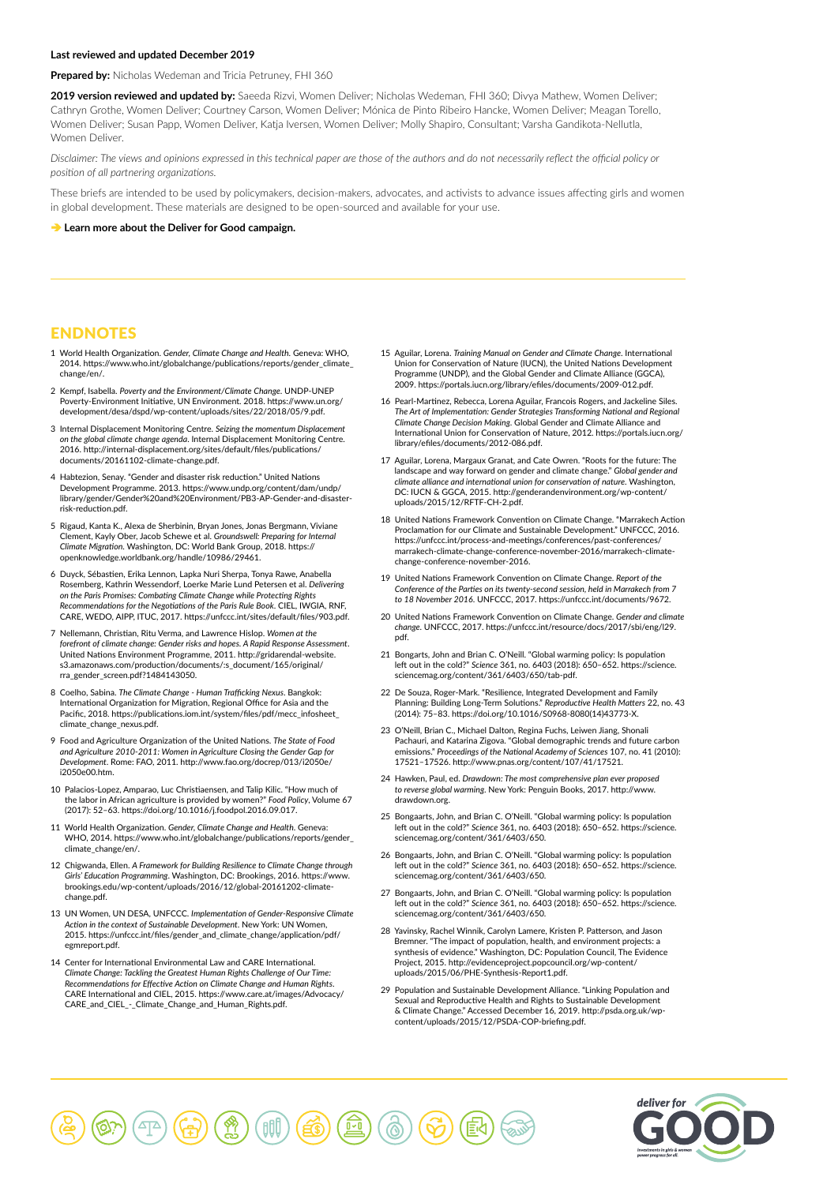#### **Last reviewed and updated December 2019**

**Prepared by:** Nicholas Wedeman and Tricia Petruney, FHI 360

**2019 version reviewed and updated by:** Saeeda Rizvi, Women Deliver; Nicholas Wedeman, FHI 360; Divya Mathew, Women Deliver; Cathryn Grothe, Women Deliver; Courtney Carson, Women Deliver; Mónica de Pinto Ribeiro Hancke, Women Deliver; Meagan Torello, Women Deliver; Susan Papp, Women Deliver, Katja Iversen, Women Deliver; Molly Shapiro, Consultant; Varsha Gandikota-Nellutla, Women Deliver.

*Disclaimer: The views and opinions expressed in this technical paper are those of the authors and do not necessarily reflect the official policy or position of all partnering organizations.*

These briefs are intended to be used by policymakers, decision-makers, advocates, and activists to advance issues affecting girls and women in global development. These materials are designed to be open-sourced and available for your use.

**→ [Learn more about the Deliver for Good campaign.](http://www.deliverforgood.org/)** 

# ENDNOTES

- 1 World Health Organization. *Gender, Climate Change and Health*. Geneva: WHO, 2014. https://www.who.int/globalchange/publications/reports/gender\_climate\_ change/en/.
- 2 Kempf, Isabella. *Poverty and the Environment/Climate Change*. UNDP-UNEP Poverty-Environment Initiative, UN Environment. 2018. https://www.un.org/ development/desa/dspd/wp-content/uploads/sites/22/2018/05/9.pdf.
- 3 Internal Displacement Monitoring Centre. *Seizing the momentum Displacement on the global climate change agenda*. Internal Displacement Monitoring Centre. 2016. http://internal-displacement.org/sites/default/files/publications/ documents/20161102-climate-change.pdf.
- 4 Habtezion, Senay. "Gender and disaster risk reduction." United Nations Development Programme. 2013. https://www.undp.org/content/dam/undp/ library/gender/Gender%20and%20Environment/PB3-AP-Gender-and-disasterrisk-reduction.pdf.
- 5 Rigaud, Kanta K., Alexa de Sherbinin, Bryan Jones, Jonas Bergmann, Viviane Clement, Kayly Ober, Jacob Schewe et al. *Groundswell: Preparing for Internal Climate Migration*. Washington, DC: World Bank Group, 2018. https:// openknowledge.worldbank.org/handle/10986/29461.
- 6 Duyck, Sébastien, Erika Lennon, Lapka Nuri Sherpa, Tonya Rawe, Anabella Rosemberg, Kathrin Wessendorf, Loerke Marie Lund Petersen et al. *Delivering on the Paris Promises: Combating Climate Change while Protecting Rights Recommendations for the Negotiations of the Paris Rule Book*. CIEL, IWGIA, RNF, CARE, WEDO, AIPP, ITUC, 2017. https://unfccc.int/sites/default/files/903.pdf.
- 7 Nellemann, Christian, Ritu Verma, and Lawrence Hislop. *Women at the forefront of climate change: Gender risks and hopes. A Rapid Response Assessment*. United Nations Environment Programme, 2011. http://gridarendal-website. s3.amazonaws.com/production/documents/:s\_document/165/original/ rra\_gender\_screen.pdf?1484143050.
- 8 Coelho, Sabina. *The Climate Change Human Trafficking Nexus*. Bangkok: International Organization for Migration, Regional Office for Asia and the Pacific, 2018. https://publications.iom.int/system/files/pdf/mecc\_infosheet\_ climate\_change\_nexus.pdf.
- 9 Food and Agriculture Organization of the United Nations. *The State of Food and Agriculture 2010-2011: Women in Agriculture Closing the Gender Gap for Development*. Rome: FAO, 2011. http://www.fao.org/docrep/013/i2050e/ i2050e00.htm.
- 10 Palacios-Lopez, Amparao, Luc Christiaensen, and Talip Kilic. "How much of the labor in African agriculture is provided by women?" *Food Policy*, Volume 67 (2017): 52–63. https://doi.org/10.1016/j.foodpol.2016.09.017.
- 11 World Health Organization. *Gender, Climate Change and Health*. Geneva: WHO, 2014. https://www.who.int/globalchange/publications/reports/gender\_ climate\_change/en/.
- 12 Chigwanda, Ellen. *A Framework for Building Resilience to Climate Change through Girls' Education Programming*. Washington, DC: Brookings, 2016. https://www. brookings.edu/wp-content/uploads/2016/12/global-20161202-climatechange.pdf.
- 13 UN Women, UN DESA, UNFCCC. *Implementation of Gender-Responsive Climate Action in the context of Sustainable Development*. New York: UN Women, 2015. https://unfccc.int/files/gender\_and\_climate\_change/application/pdf/ egmreport.pdf.
- 14 Center for International Environmental Law and CARE International. *Climate Change: Tackling the Greatest Human Rights Challenge of Our Time: Recommendations for Effective Action on Climate Change and Human Rights*. CARE International and CIEL, 2015. https://www.care.at/images/Advocacy/ CARE\_and\_CIEL\_-\_Climate\_Change\_and\_Human\_Rights.pdf.
- 15 Aguilar, Lorena. *Training Manual on Gender and Climate Change*. International Union for Conservation of Nature (IUCN), the United Nations Development Programme (UNDP), and the Global Gender and Climate Alliance (GGCA), 2009. https://portals.iucn.org/library/efiles/documents/2009-012.pdf.
- 16 Pearl-Martinez, Rebecca, Lorena Aguilar, Francois Rogers, and Jackeline Siles. *The Art of Implementation: Gender Strategies Transforming National and Regional Climate Change Decision Making*. Global Gender and Climate Alliance and International Union for Conservation of Nature, 2012. https://portals.iucn.org/ library/efiles/documents/2012-086.pdf.
- 17 Aguilar, Lorena, Margaux Granat, and Cate Owren. "Roots for the future: The landscape and way forward on gender and climate change." *Global gender and climate alliance and international union for conservation of nature*. Washington, DC: IUCN & GGCA, 2015. http://genderandenvironment.org/wp-content/ uploads/2015/12/RFTF-CH-2.pdf.
- 18 United Nations Framework Convention on Climate Change. "Marrakech Action Proclamation for our Climate and Sustainable Development." UNFCCC, 2016. https://unfccc.int/process-and-meetings/conferences/past-conferences/ marrakech-climate-change-conference-november-2016/marrakech-climatechange-conference-november-2016.
- 19 United Nations Framework Convention on Climate Change. *Report of the Conference of the Parties on its twenty-second session, held in Marrakech from 7 to 18 November 2016*. UNFCCC, 2017. https://unfccc.int/documents/9672.
- 20 United Nations Framework Convention on Climate Change. *Gender and climate change*. UNFCCC, 2017. https://unfccc.int/resource/docs/2017/sbi/eng/l29. pdf.
- 21 Bongarts, John and Brian C. O'Neill. "Global warming policy: Is population left out in the cold?" *Science* 361, no. 6403 (2018): 650–652. https://science. sciencemag.org/content/361/6403/650/tab-pdf.
- 22 De Souza, Roger-Mark. "Resilience, Integrated Development and Family Planning: Building Long-Term Solutions." *Reproductive Health Matters* 22, no. 43 (2014): 75–83. https://doi.org/10.1016/S0968-8080(14)43773-X.
- 23 O'Neill, Brian C., Michael Dalton, Regina Fuchs, Leiwen Jiang, Shonali Pachauri, and Katarina Zigova. "Global demographic trends and future carbon emissions." *Proceedings of the National Academy of Sciences* 107, no. 41 (2010): 17521–17526. http://www.pnas.org/content/107/41/17521.
- 24 Hawken, Paul, ed. *Drawdown: The most comprehensive plan ever proposed to reverse global warming*. New York: Penguin Books, 2017. http://www. drawdown.org.
- 25 Bongaarts, John, and Brian C. O'Neill. "Global warming policy: Is population left out in the cold?" *Science* 361, no. 6403 (2018): 650–652. https://science. sciencemag.org/content/361/6403/650.
- 26 Bongaarts, John, and Brian C. O'Neill. "Global warming policy: Is population left out in the cold?" *Science* 361, no. 6403 (2018): 650–652. https://science. sciencemag.org/content/361/6403/650.
- 27 Bongaarts, John, and Brian C. O'Neill. "Global warming policy: Is population left out in the cold?" *Science* 361, no. 6403 (2018): 650–652. https://science. sciencemag.org/content/361/6403/650.
- 28 Yavinsky, Rachel Winnik, Carolyn Lamere, Kristen P. Patterson, and Jason Bremner. "The impact of population, health, and environment projects: a synthesis of evidence." Washington, DC: Population Council, The Evidence Project, 2015. http://evidenceproject.popcouncil.org/wp-content/ uploads/2015/06/PHE-Synthesis-Report1.pdf.
- 29 Population and Sustainable Development Alliance. "Linking Population and Sexual and Reproductive Health and Rights to Sustainable Development & Climate Change." Accessed December 16, 2019. http://psda.org.uk/wpcontent/uploads/2015/12/PSDA-COP-briefing.pdf.



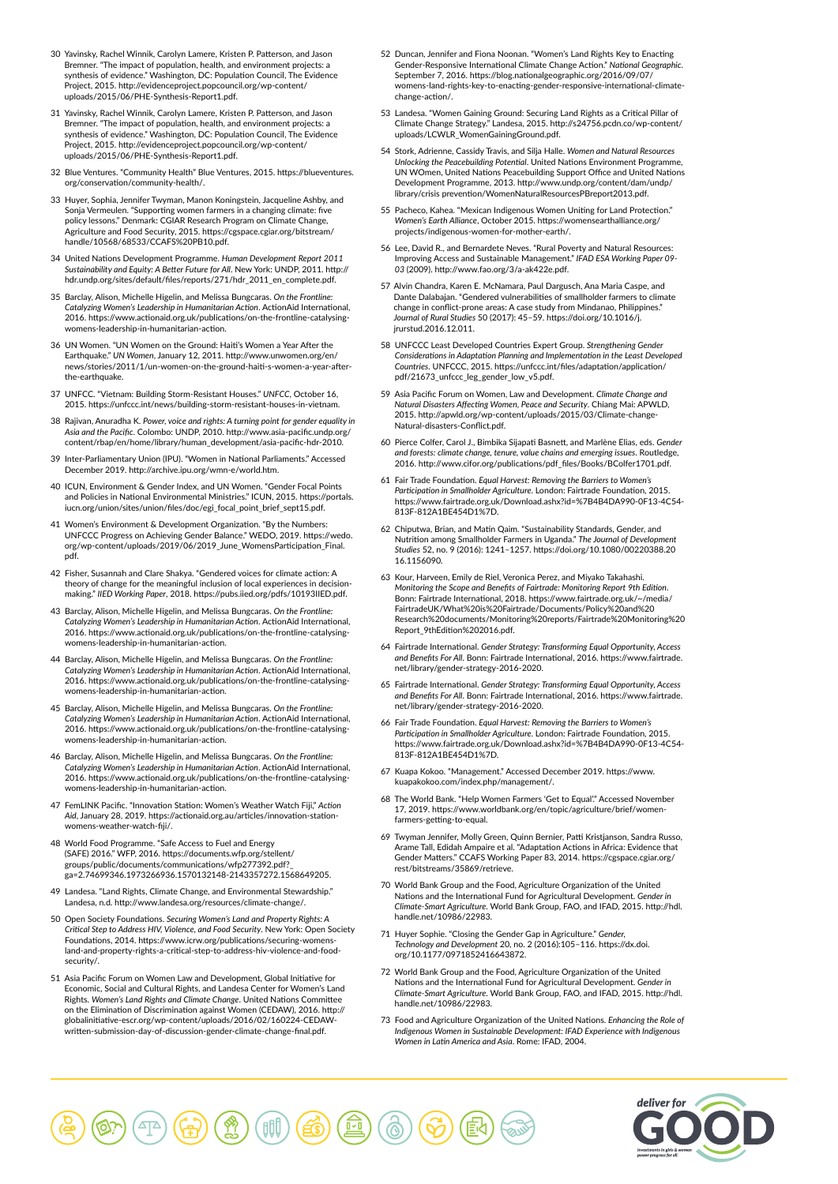- 30 Yavinsky, Rachel Winnik, Carolyn Lamere, Kristen P. Patterson, and Jason Bremner. "The impact of population, health, and environment projects: a synthesis of evidence." Washington, DC: Population Council, The Evidence Project, 2015. http://evidenceproject.popcouncil.org/wp-content/ uploads/2015/06/PHE-Synthesis-Report1.pdf.
- 31 Yavinsky, Rachel Winnik, Carolyn Lamere, Kristen P. Patterson, and Jason Bremner. "The impact of population, health, and environment projects: a synthesis of evidence." Washington, DC: Population Council, The Evidence Project, 2015. http://evidenceproject.popcouncil.org/wp-content/ uploads/2015/06/PHE-Synthesis-Report1.pdf.
- 32 Blue Ventures. "Community Health" Blue Ventures, 2015. https://blueventures. org/conservation/community-health/.
- 33 Huyer, Sophia, Jennifer Twyman, Manon Koningstein, Jacqueline Ashby, and Sonja Vermeulen. "Supporting women farmers in a changing climate: five policy lessons." Denmark: CGIAR Research Program on Climate Change, Agriculture and Food Security, 2015. https://cgspace.cgiar.org/bitstream/ handle/10568/68533/CCAFS%20PB10.pdf.
- 34 United Nations Development Programme. *Human Development Report 2011 Sustainability and Equity: A Better Future for All*. New York: UNDP, 2011. http:// hdr.undp.org/sites/default/files/reports/271/hdr\_2011\_en\_complete.pdf.
- 35 Barclay, Alison, Michelle Higelin, and Melissa Bungcaras. *On the Frontline: Catalyzing Women's Leadership in Humanitarian Action*. ActionAid International, 2016. https://www.actionaid.org.uk/publications/on-the-frontline-catalysingwomens-leadership-in-humanitarian-action.
- 36 UN Women. "UN Women on the Ground: Haiti's Women a Year After the Earthquake." *UN Women*, January 12, 2011. http://www.unwomen.org/en/ news/stories/2011/1/un-women-on-the-ground-haiti-s-women-a-year-afterthe-earthquake.
- 37 UNFCC. "Vietnam: Building Storm-Resistant Houses." *UNFCC*, October 16, 2015. https://unfccc.int/news/building-storm-resistant-houses-in-vietnam.
- 38 Rajivan, Anuradha K. *Power, voice and rights: A turning point for gender equality in Asia and the Pacific*. Colombo: UNDP, 2010. http://www.asia-pacific.undp.org/ content/rbap/en/home/library/human\_development/asia-pacific-hdr-2010.
- 39 Inter-Parliamentary Union (IPU). "Women in National Parliaments." Accessed December 2019. http://archive.ipu.org/wmn-e/world.htm.
- 40 ICUN, Environment & Gender Index, and UN Women. "Gender Focal Points and Policies in National Environmental Ministries." ICUN, 2015. https://portals. iucn.org/union/sites/union/files/doc/egi\_focal\_point\_brief\_sept15.pdf.
- 41 Women's Environment & Development Organization. "By the Numbers: UNFCCC Progress on Achieving Gender Balance." WEDO, 2019. https://wedo. org/wp-content/uploads/2019/06/2019\_June\_WomensParticipation\_Final. pdf.
- 42 Fisher, Susannah and Clare Shakya. "Gendered voices for climate action: A theory of change for the meaningful inclusion of local experiences in decisionmaking." *IIED Working Paper*, 2018. https://pubs.iied.org/pdfs/10193IIED.pdf.
- 43 Barclay, Alison, Michelle Higelin, and Melissa Bungcaras. *On the Frontline: Catalyzing Women's Leadership in Humanitarian Action*. ActionAid International, 2016. https://www.actionaid.org.uk/publications/on-the-frontline-catalysingwomens-leadership-in-humanitarian-action.
- 44 Barclay, Alison, Michelle Higelin, and Melissa Bungcaras. *On the Frontline: Catalyzing Women's Leadership in Humanitarian Action*. ActionAid International, 2016. https://www.actionaid.org.uk/publications/on-the-frontline-catalysingwomens-leadership-in-humanitarian-action.
- 45 Barclay, Alison, Michelle Higelin, and Melissa Bungcaras. *On the Frontline: Catalyzing Women's Leadership in Humanitarian Action*. ActionAid International, 2016. https://www.actionaid.org.uk/publications/on-the-frontline-catalysingens-leadership-in-humanitarian-action.
- 46 Barclay, Alison, Michelle Higelin, and Melissa Bungcaras. *On the Frontline: Catalyzing Women's Leadership in Humanitarian Action*. ActionAid International, 2016. https://www.actionaid.org.uk/publications/on-the-frontline-catalysingens-leadership-in-humanitarian-action.
- 47 FemLINK Pacific. "Innovation Station: Women's Weather Watch Fiji," *Action Aid*, January 28, 2019. https://actionaid.org.au/articles/innovation-stationwomens-weather-watch-fiji/.
- 48 World Food Programme. "Safe Access to Fuel and Energy (SAFE) 2016." WFP, 2016. https://documents.wfp.org/stellent/ groups/public/documents/communications/wfp277392.pdf?\_ ga=2.74699346.1973266936.1570132148-2143357272.1568649205.
- 49 Landesa. "Land Rights, Climate Change, and Environmental Stewardship." Landesa, n.d. http://www.landesa.org/resources/climate-change/.
- 50 Open Society Foundations. *Securing Women's Land and Property Rights: A Critical Step to Address HIV, Violence, and Food Security*. New York: Open Society Foundations, 2014. https://www.icrw.org/publications/securing-womensland-and-property-rights-a-critical-step-to-address-hiv-violence-and-foodsecurity/.
- 51 Asia Pacific Forum on Women Law and Development, Global Initiative for Economic, Social and Cultural Rights, and Landesa Center for Women's Land Rights. *Women's Land Rights and Climate Change*. United Nations Committee on the Elimination of Discrimination against Women (CEDAW), 2016. http:// globalinitiative-escr.org/wp-content/uploads/2016/02/160224-CEDAWwritten-submission-day-of-discussion-gender-climate-change-final.pdf.
- 52 Duncan, Jennifer and Fiona Noonan. "Women's Land Rights Key to Enacting Gender-Responsive International Climate Change Action." *National Geographic*. September 7, 2016. https://blog.nationalgeographic.org/2016/09/07/ womens-land-rights-key-to-enacting-gender-responsive-international-climatechange-action/.
- 53 Landesa. "Women Gaining Ground: Securing Land Rights as a Critical Pillar of Climate Change Strategy." Landesa, 2015. http://s24756.pcdn.co/wp-content/ uploads/LCWLR\_WomenGainingGround.pdf.
- 54 Stork, Adrienne, Cassidy Travis, and Silja Halle. *Women and Natural Resources Unlocking the Peacebuilding Potential*. United Nations Environment Programme, UN WOmen, United Nations Peacebuilding Support Office and United Nations Development Programme, 2013. http://www.undp.org/content/dam/undp/ library/crisis prevention/WomenNaturalResourcesPBreport2013.pdf.
- 55 Pacheco, Kahea. "Mexican Indigenous Women Uniting for Land Protection." *Women's Earth Alliance*, October 2015. https://womensearthalliance.org/ projects/indigenous-women-for-mother-earth/.
- 56 Lee, David R., and Bernardete Neves. "Rural Poverty and Natural Resources: Improving Access and Sustainable Management." *IFAD ESA Working Paper 09- 03* (2009). http://www.fao.org/3/a-ak422e.pdf.
- 57 Alvin Chandra, Karen E. McNamara, Paul Dargusch, Ana Maria Caspe, and Dante Dalabajan. "Gendered vulnerabilities of smallholder farmers to climate change in conflict-prone areas: A case study from Mindanao, Philippines. *Journal of Rural Studies* 50 (2017): 45–59. https://doi.org/10.1016/j. jrurstud.2016.12.011.
- 58 UNFCCC Least Developed Countries Expert Group. *Strengthening Gender Considerations in Adaptation Planning and Implementation in the Least Developed Countries*. UNFCCC, 2015. https://unfccc.int/files/adaptation/application/ pdf/21673\_unfccc\_leg\_gender\_low\_v5.pdf.
- 59 Asia Pacific Forum on Women, Law and Development. *Climate Change and Natural Disasters Affecting Women, Peace and Security*. Chiang Mai: APWLD, 2015. http://apwld.org/wp-content/uploads/2015/03/Climate-change-Natural-disasters-Conflict.pdf.
- 60 Pierce Colfer, Carol J., Bimbika Sijapati Basnett, and Marlène Elias, eds. *Gender and forests: climate change, tenure, value chains and emerging issues*. Routledge, 2016. http://www.cifor.org/publications/pdf\_files/Books/BColfer1701.pdf.
- 61 Fair Trade Foundation. *Equal Harvest: Removing the Barriers to Women's Participation in Smallholder Agriculture*. London: Fairtrade Foundation, 2015. https://www.fairtrade.org.uk/Download.ashx?id=%7B4B4DA990-0F13-4C54- 813F-812A1BE454D1%7D.
- 62 Chiputwa, Brian, and Matin Qaim. "Sustainability Standards, Gender, and Nutrition among Smallholder Farmers in Uganda." The Journal of Developi *Studies* 52, no. 9 (2016): 1241–1257. https://doi.org/10.1080/00220388.20 16.1156090.
- 63 Kour, Harveen, Emily de Riel, Veronica Perez, and Miyako Takahashi. *Monitoring the Scope and Benefits of Fairtrade: Monitoring Report 9th Edition*. Bonn: Fairtrade International, 2018. https://www.fairtrade.org.uk/~/media/ FairtradeUK/What%20is%20Fairtrade/Documents/Policy%20and%20 Research%20documents/Monitoring%20reports/Fairtrade%20Monitoring%20 Report\_9thEdition%202016.pdf.
- 64 Fairtrade International. *Gender Strategy: Transforming Equal Opportunity, Access and Benefits For All*. Bonn: Fairtrade International, 2016. https://www.fairtrade. net/library/gender-strategy-2016-2020.
- 65 Fairtrade International. *Gender Strategy: Transforming Equal Opportunity, Access and Benefits For All*. Bonn: Fairtrade International, 2016. https://www.fairtrade. net/library/gender-strategy-2016-2020.
- 66 Fair Trade Foundation. *Equal Harvest: Removing the Barriers to Women's Participation in Smallholder Agriculture*. London: Fairtrade Foundation, 2015. https://www.fairtrade.org.uk/Download.ashx?id=%7B4B4DA990-0F13-4C54- 813F-812A1BE454D1%7D.
- 67 Kuapa Kokoo. "Management." Accessed December 2019. https://www. kuapakokoo.com/index.php/management/.
- 68 The World Bank. "Help Women Farmers 'Get to Equal'." Accessed November 17, 2019. https://www.worldbank.org/en/topic/agriculture/brief/womenfarmers-getting-to-equal.
- 69 Twyman Jennifer, Molly Green, Quinn Bernier, Patti Kristjanson, Sandra Russo, Arame Tall, Edidah Ampaire et al. "Adaptation Actions in Africa: Evidence that Gender Matters." CCAFS Working Paper 83, 2014. https://cgspace.cgiar.org/ rest/bitstreams/35869/retrieve.
- 70 World Bank Group and the Food, Agriculture Organization of the United Nations and the International Fund for Agricultural Development. *Gender in Climate-Smart Agriculture*. World Bank Group, FAO, and IFAD, 2015. http://hdl. handle.net/10986/22983.
- 71 Huyer Sophie. "Closing the Gender Gap in Agriculture." *Gender, Technology and Development* 20, no. 2 (2016):105–116. https://dx.doi. org/10.1177/0971852416643872.
- 72 World Bank Group and the Food, Agriculture Organization of the United Nations and the International Fund for Agricultural Development. *Gender in Climate-Smart Agriculture*. World Bank Group, FAO, and IFAD, 2015. http://hdl. handle.net/10986/22983.
- 73 Food and Agriculture Organization of the United Nations. *Enhancing the Role of Indigenous Women in Sustainable Development: IFAD Experience with Indigenous Women in Latin America and Asia*. Rome: IFAD, 2004.